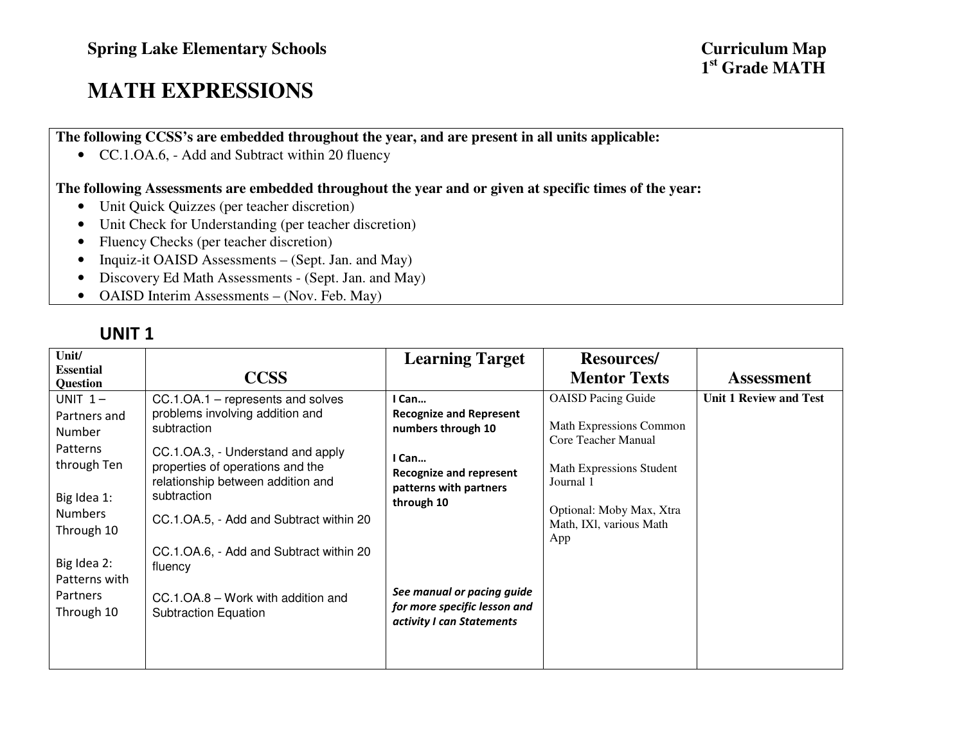# **MATH EXPRESSIONS**

**The following CCSS's are embedded throughout the year, and are present in all units applicable:** 

• CC.1.OA.6, - Add and Subtract within 20 fluency

#### **The following Assessments are embedded throughout the year and or given at specific times of the year:**

- Unit Quick Quizzes (per teacher discretion)
- Unit Check for Understanding (per teacher discretion)
- Fluency Checks (per teacher discretion)
- Inquiz-it OAISD Assessments (Sept. Jan. and May)
- Discovery Ed Math Assessments (Sept. Jan. and May)
- OAISD Interim Assessments (Nov. Feb. May)

| Unit/<br><b>Essential</b><br><b>Question</b>                                                                                                  | <b>CCSS</b>                                                                                                                                                                                                                                                                                                       | <b>Learning Target</b>                                                                                                                           | <b>Resources</b> /<br><b>Mentor Texts</b>                                                                                                                                          | <b>Assessment</b>             |
|-----------------------------------------------------------------------------------------------------------------------------------------------|-------------------------------------------------------------------------------------------------------------------------------------------------------------------------------------------------------------------------------------------------------------------------------------------------------------------|--------------------------------------------------------------------------------------------------------------------------------------------------|------------------------------------------------------------------------------------------------------------------------------------------------------------------------------------|-------------------------------|
| UNIT $1-$<br>Partners and<br>Number<br>Patterns<br>through Ten<br>Big Idea 1:<br><b>Numbers</b><br>Through 10<br>Big Idea 2:<br>Patterns with | CC.1.OA.1 – represents and solves<br>problems involving addition and<br>subtraction<br>CC.1.OA.3, - Understand and apply<br>properties of operations and the<br>relationship between addition and<br>subtraction<br>CC.1.OA.5, - Add and Subtract within 20<br>CC.1.OA.6, - Add and Subtract within 20<br>fluency | I Can<br><b>Recognize and Represent</b><br>numbers through 10<br>I Can<br><b>Recognize and represent</b><br>patterns with partners<br>through 10 | <b>OAISD Pacing Guide</b><br>Math Expressions Common<br>Core Teacher Manual<br>Math Expressions Student<br>Journal 1<br>Optional: Moby Max, Xtra<br>Math, IXl, various Math<br>App | <b>Unit 1 Review and Test</b> |
| <b>Partners</b><br>Through 10                                                                                                                 | CC.1.OA.8 - Work with addition and<br><b>Subtraction Equation</b>                                                                                                                                                                                                                                                 | See manual or pacing guide<br>for more specific lesson and<br>activity I can Statements                                                          |                                                                                                                                                                                    |                               |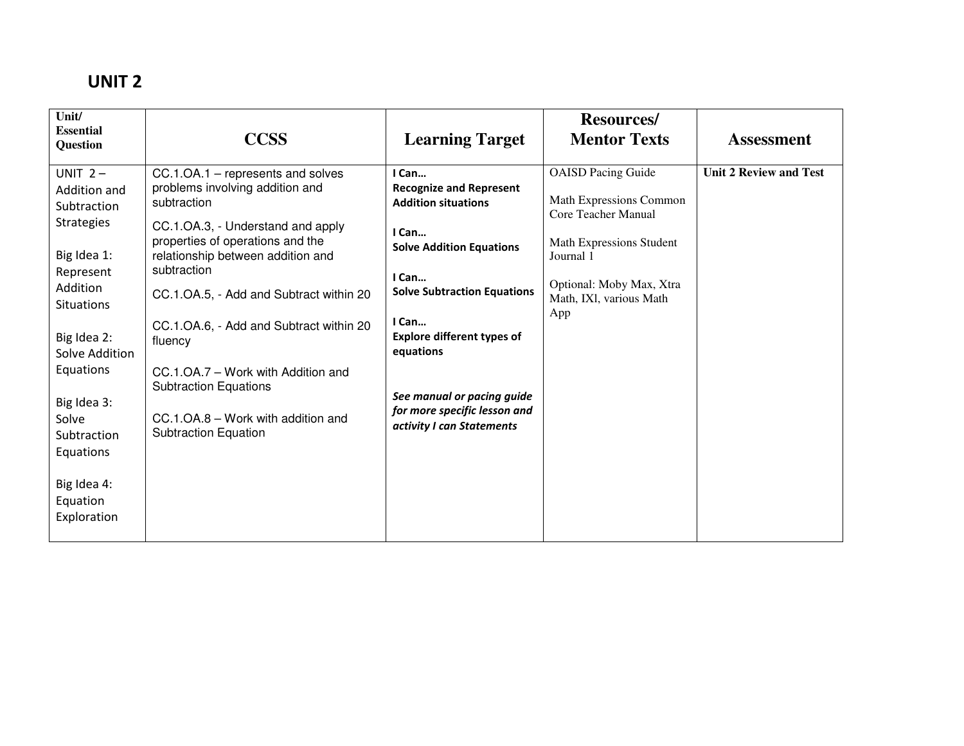| Unit/<br><b>Essential</b>                                                                                                                                                                                                                                                          | <b>CCSS</b>                                                                                                                                                                                                                                                                                                                                                                                                                                                  | <b>Learning Target</b>                                                                                                                                                                                                                                                                                                 | <b>Resources/</b><br><b>Mentor Texts</b>                                                                                                                                           | <b>Assessment</b>             |
|------------------------------------------------------------------------------------------------------------------------------------------------------------------------------------------------------------------------------------------------------------------------------------|--------------------------------------------------------------------------------------------------------------------------------------------------------------------------------------------------------------------------------------------------------------------------------------------------------------------------------------------------------------------------------------------------------------------------------------------------------------|------------------------------------------------------------------------------------------------------------------------------------------------------------------------------------------------------------------------------------------------------------------------------------------------------------------------|------------------------------------------------------------------------------------------------------------------------------------------------------------------------------------|-------------------------------|
| Question<br>UNIT $2-$<br>Addition and<br>Subtraction<br><b>Strategies</b><br>Big Idea 1:<br>Represent<br>Addition<br><b>Situations</b><br>Big Idea 2:<br>Solve Addition<br>Equations<br>Big Idea 3:<br>Solve<br>Subtraction<br>Equations<br>Big Idea 4:<br>Equation<br>Exploration | CC.1.OA.1 – represents and solves<br>problems involving addition and<br>subtraction<br>CC.1.OA.3, - Understand and apply<br>properties of operations and the<br>relationship between addition and<br>subtraction<br>CC.1.OA.5, - Add and Subtract within 20<br>CC.1.OA.6, - Add and Subtract within 20<br>fluency<br>CC.1.OA.7 - Work with Addition and<br><b>Subtraction Equations</b><br>CC.1.OA.8 - Work with addition and<br><b>Subtraction Equation</b> | I Can<br><b>Recognize and Represent</b><br><b>Addition situations</b><br>I Can<br><b>Solve Addition Equations</b><br>I Can<br><b>Solve Subtraction Equations</b><br>I Can<br><b>Explore different types of</b><br>equations<br>See manual or pacing guide<br>for more specific lesson and<br>activity I can Statements | <b>OAISD Pacing Guide</b><br>Math Expressions Common<br>Core Teacher Manual<br>Math Expressions Student<br>Journal 1<br>Optional: Moby Max, Xtra<br>Math, IXI, various Math<br>App | <b>Unit 2 Review and Test</b> |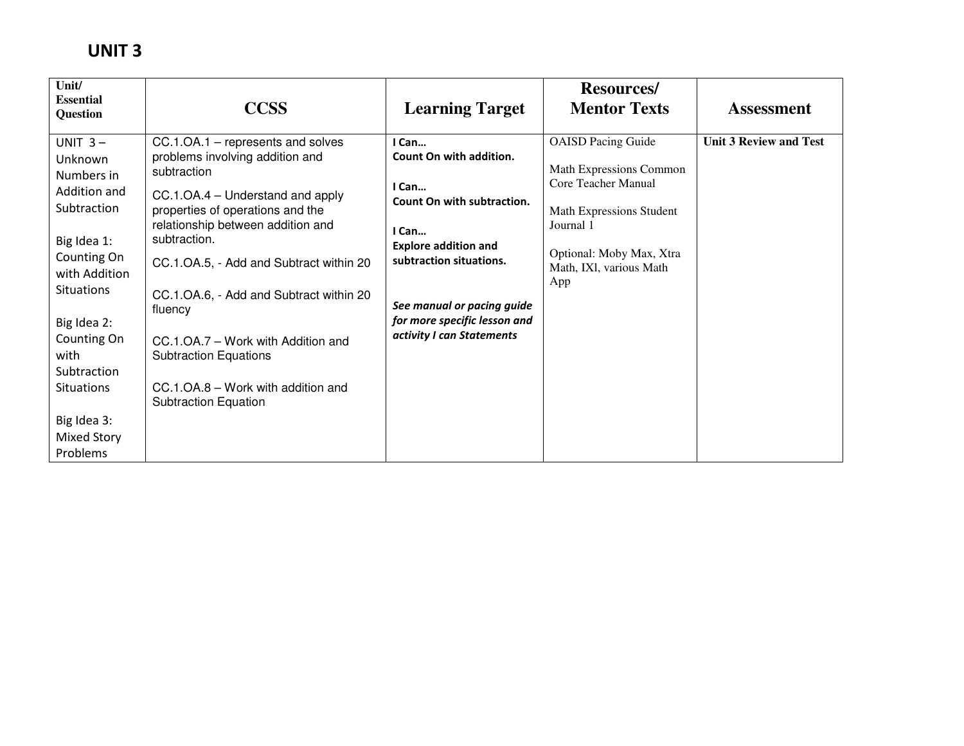| Unit/<br><b>Essential</b><br>Question                                                                                                                                                                                                                     | <b>CCSS</b>                                                                                                                                                                                                                                                                                                                                                                                                                                                  | <b>Learning Target</b>                                                                                                                                                                                                                | <b>Resources/</b><br><b>Mentor Texts</b>                                                                                                                                           | <b>Assessment</b>             |
|-----------------------------------------------------------------------------------------------------------------------------------------------------------------------------------------------------------------------------------------------------------|--------------------------------------------------------------------------------------------------------------------------------------------------------------------------------------------------------------------------------------------------------------------------------------------------------------------------------------------------------------------------------------------------------------------------------------------------------------|---------------------------------------------------------------------------------------------------------------------------------------------------------------------------------------------------------------------------------------|------------------------------------------------------------------------------------------------------------------------------------------------------------------------------------|-------------------------------|
| UNIT $3-$<br>Unknown<br>Numbers in<br>Addition and<br>Subtraction<br>Big Idea 1:<br>Counting On<br>with Addition<br><b>Situations</b><br>Big Idea 2:<br>Counting On<br>with<br>Subtraction<br><b>Situations</b><br>Big Idea 3:<br>Mixed Story<br>Problems | CC.1.OA.1 – represents and solves<br>problems involving addition and<br>subtraction<br>CC.1.OA.4 – Understand and apply<br>properties of operations and the<br>relationship between addition and<br>subtraction.<br>CC.1.OA.5, - Add and Subtract within 20<br>CC.1.OA.6, - Add and Subtract within 20<br>fluency<br>CC.1.OA.7 - Work with Addition and<br><b>Subtraction Equations</b><br>CC.1.OA.8 – Work with addition and<br><b>Subtraction Equation</b> | I Can<br>Count On with addition.<br>I Can<br>Count On with subtraction.<br>I Can<br><b>Explore addition and</b><br>subtraction situations.<br>See manual or pacing guide<br>for more specific lesson and<br>activity I can Statements | <b>OAISD Pacing Guide</b><br>Math Expressions Common<br>Core Teacher Manual<br>Math Expressions Student<br>Journal 1<br>Optional: Moby Max, Xtra<br>Math, IXl, various Math<br>App | <b>Unit 3 Review and Test</b> |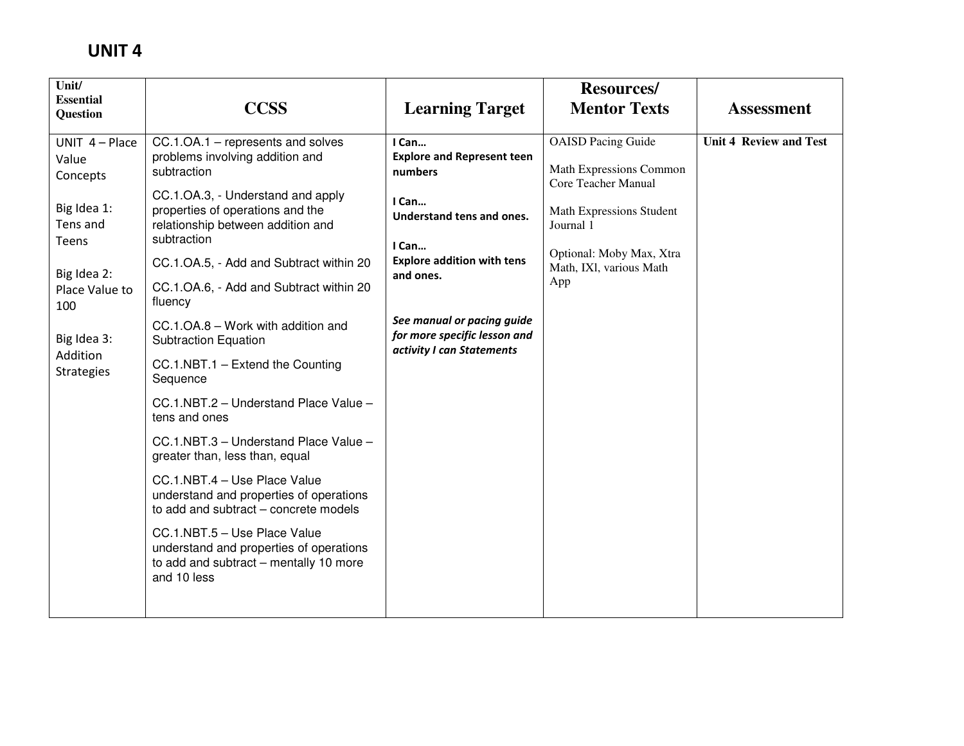| <b>CCSS</b>                                                                                                                      | <b>Learning Target</b>                                                                  | <b>Resources/</b><br><b>Mentor Texts</b>             | <b>Assessment</b>             |
|----------------------------------------------------------------------------------------------------------------------------------|-----------------------------------------------------------------------------------------|------------------------------------------------------|-------------------------------|
| $CC.1.OA.1$ – represents and solves<br>problems involving addition and<br>subtraction                                            | I Can<br><b>Explore and Represent teen</b><br>numbers                                   | <b>OAISD</b> Pacing Guide<br>Math Expressions Common | <b>Unit 4 Review and Test</b> |
| CC.1.OA.3, - Understand and apply<br>properties of operations and the<br>relationship between addition and<br>subtraction        | I Can<br>Understand tens and ones.                                                      | Math Expressions Student<br>Journal 1                |                               |
| CC.1.OA.5, - Add and Subtract within 20                                                                                          | <b>Explore addition with tens</b>                                                       | Optional: Moby Max, Xtra<br>Math, IXI, various Math  |                               |
| CC.1.OA.6, - Add and Subtract within 20<br>fluency                                                                               |                                                                                         | App                                                  |                               |
| CC.1.OA.8 - Work with addition and<br><b>Subtraction Equation</b>                                                                | See manual or pacing guide<br>for more specific lesson and<br>activity I can Statements |                                                      |                               |
| CC.1.NBT.1 - Extend the Counting<br>Sequence                                                                                     |                                                                                         |                                                      |                               |
| CC.1.NBT.2 - Understand Place Value -<br>tens and ones                                                                           |                                                                                         |                                                      |                               |
| CC.1.NBT.3 - Understand Place Value -<br>greater than, less than, equal                                                          |                                                                                         |                                                      |                               |
| CC.1.NBT.4 - Use Place Value<br>understand and properties of operations<br>to add and subtract - concrete models                 |                                                                                         |                                                      |                               |
| CC.1.NBT.5 - Use Place Value<br>understand and properties of operations<br>to add and subtract - mentally 10 more<br>and 10 less |                                                                                         |                                                      |                               |
|                                                                                                                                  |                                                                                         | I Can<br>and ones.                                   | Core Teacher Manual           |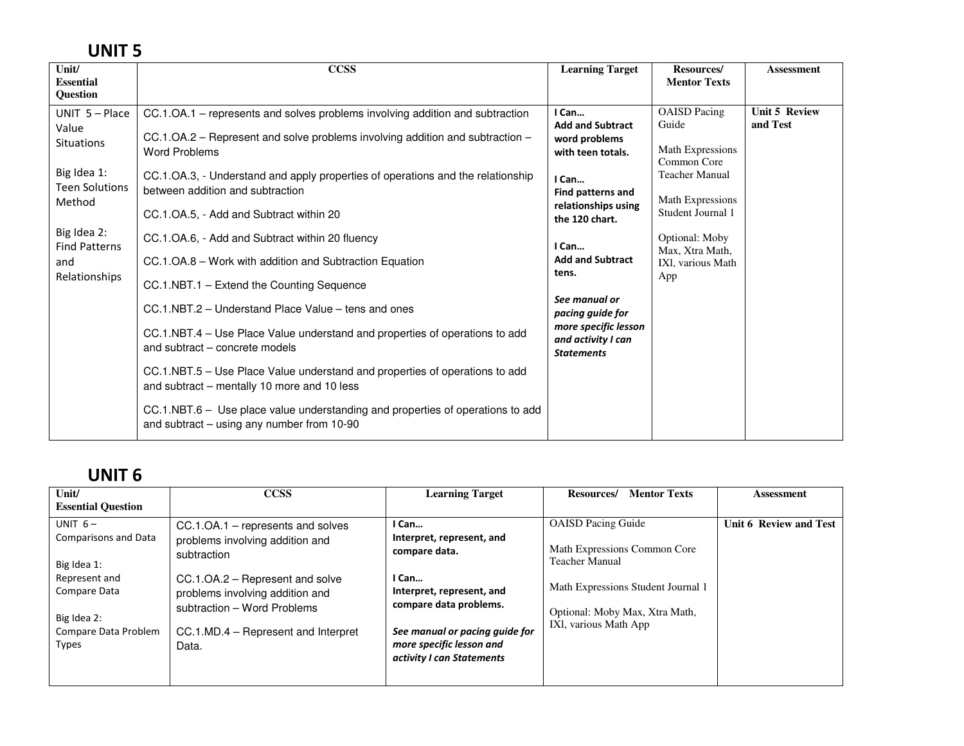| <b>Essential</b>                                                                                                                                                                                                                                                                                                                                                                                                                                                                                                                                                                                                                                                                                                                                                                                                                                                                                                                                                                                                                                                                                                                                                                                                           | <b>Learning Target</b>                                                                                                                                                                                                                                                                                                                                                                                              | Resources/                       |
|----------------------------------------------------------------------------------------------------------------------------------------------------------------------------------------------------------------------------------------------------------------------------------------------------------------------------------------------------------------------------------------------------------------------------------------------------------------------------------------------------------------------------------------------------------------------------------------------------------------------------------------------------------------------------------------------------------------------------------------------------------------------------------------------------------------------------------------------------------------------------------------------------------------------------------------------------------------------------------------------------------------------------------------------------------------------------------------------------------------------------------------------------------------------------------------------------------------------------|---------------------------------------------------------------------------------------------------------------------------------------------------------------------------------------------------------------------------------------------------------------------------------------------------------------------------------------------------------------------------------------------------------------------|----------------------------------|
| Question                                                                                                                                                                                                                                                                                                                                                                                                                                                                                                                                                                                                                                                                                                                                                                                                                                                                                                                                                                                                                                                                                                                                                                                                                   | <b>Mentor Texts</b>                                                                                                                                                                                                                                                                                                                                                                                                 | <b>Assessment</b>                |
| UNIT $5 -$ Place<br>I Can<br>CC.1.OA.1 – represents and solves problems involving addition and subtraction<br>Value<br>CC.1.OA.2 – Represent and solve problems involving addition and subtraction –<br><b>Situations</b><br><b>Word Problems</b><br>Big Idea 1:<br>CC.1.OA.3, - Understand and apply properties of operations and the relationship<br>I Can<br><b>Teen Solutions</b><br>between addition and subtraction<br>Method<br>CC.1.OA.5, - Add and Subtract within 20<br>the 120 chart.<br>Big Idea 2:<br>CC.1.OA.6, - Add and Subtract within 20 fluency<br><b>Find Patterns</b><br>I Can<br>CC.1.OA.8 - Work with addition and Subtraction Equation<br>and<br>tens.<br>Relationships<br>CC.1.NBT.1 - Extend the Counting Sequence<br>See manual or<br>CC.1.NBT.2 – Understand Place Value – tens and ones<br>CC.1.NBT.4 – Use Place Value understand and properties of operations to add<br>and subtract – concrete models<br><b>Statements</b><br>CC.1.NBT.5 – Use Place Value understand and properties of operations to add<br>and subtract - mentally 10 more and 10 less<br>CC.1.NBT.6 – Use place value understanding and properties of operations to add<br>and subtract $-$ using any number from 10-90 | <b>OAISD</b> Pacing<br>Guide<br><b>Add and Subtract</b><br>word problems<br>Math Expressions<br>with teen totals.<br>Common Core<br><b>Teacher Manual</b><br><b>Find patterns and</b><br>Math Expressions<br>relationships using<br>Student Journal 1<br>Optional: Moby<br>Max, Xtra Math,<br><b>Add and Subtract</b><br>IXI, various Math<br>App<br>pacing guide for<br>more specific lesson<br>and activity I can | <b>Unit 5 Review</b><br>and Test |

| Unit/<br><b>Essential Question</b>                                                                                                       | <b>CCSS</b>                                                                                                                                                                                                                                | <b>Learning Target</b>                                                                                                                                                                                         | <b>Mentor Texts</b><br><b>Resources</b> /                                                                                                                                           | Assessment             |
|------------------------------------------------------------------------------------------------------------------------------------------|--------------------------------------------------------------------------------------------------------------------------------------------------------------------------------------------------------------------------------------------|----------------------------------------------------------------------------------------------------------------------------------------------------------------------------------------------------------------|-------------------------------------------------------------------------------------------------------------------------------------------------------------------------------------|------------------------|
| UNIT $6-$<br>Comparisons and Data<br>Big Idea 1:<br>Represent and<br>Compare Data<br>Big Idea 2:<br>Compare Data Problem<br><b>Types</b> | $CC.1.OA.1$ – represents and solves<br>problems involving addition and<br>subtraction<br>CC.1.OA.2 – Represent and solve<br>problems involving addition and<br>subtraction - Word Problems<br>CC.1.MD.4 – Represent and Interpret<br>Data. | I Can<br>Interpret, represent, and<br>compare data.<br>I Can<br>Interpret, represent, and<br>compare data problems.<br>See manual or pacing guide for<br>more specific lesson and<br>activity I can Statements | <b>OAISD</b> Pacing Guide<br>Math Expressions Common Core<br><b>Teacher Manual</b><br>Math Expressions Student Journal 1<br>Optional: Moby Max, Xtra Math,<br>IXI, various Math App | Unit 6 Review and Test |